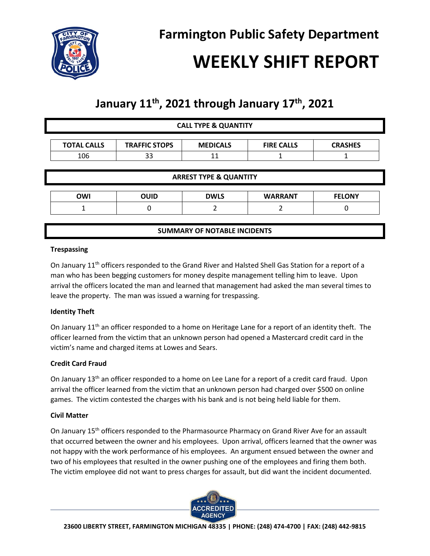

# **WEEKLY SHIFT REPORT**

# **January 11th , 2021 through January 17th, 2021**

|                    |                      | <b>CALL TYPE &amp; QUANTITY</b>   |                   |                |
|--------------------|----------------------|-----------------------------------|-------------------|----------------|
| <b>TOTAL CALLS</b> | <b>TRAFFIC STOPS</b> | <b>MEDICALS</b>                   | <b>FIRE CALLS</b> | <b>CRASHES</b> |
| 106                | 33                   | 11                                |                   |                |
|                    |                      | <b>ARREST TYPE &amp; QUANTITY</b> |                   |                |
|                    |                      |                                   |                   |                |
|                    |                      |                                   |                   |                |
| <b>OWI</b>         | <b>OUID</b>          | <b>DWLS</b>                       | <b>WARRANT</b>    | <b>FELONY</b>  |

## **Trespassing**

On January 11<sup>th</sup> officers responded to the Grand River and Halsted Shell Gas Station for a report of a man who has been begging customers for money despite management telling him to leave. Upon arrival the officers located the man and learned that management had asked the man several times to leave the property. The man was issued a warning for trespassing.

# **Identity Theft**

On January 11<sup>th</sup> an officer responded to a home on Heritage Lane for a report of an identity theft. The officer learned from the victim that an unknown person had opened a Mastercard credit card in the victim's name and charged items at Lowes and Sears.

# **Credit Card Fraud**

On January 13<sup>th</sup> an officer responded to a home on Lee Lane for a report of a credit card fraud. Upon arrival the officer learned from the victim that an unknown person had charged over \$500 on online games. The victim contested the charges with his bank and is not being held liable for them.

#### **Civil Matter**

On January 15<sup>th</sup> officers responded to the Pharmasource Pharmacy on Grand River Ave for an assault that occurred between the owner and his employees. Upon arrival, officers learned that the owner was not happy with the work performance of his employees. An argument ensued between the owner and two of his employees that resulted in the owner pushing one of the employees and firing them both. The victim employee did not want to press charges for assault, but did want the incident documented.